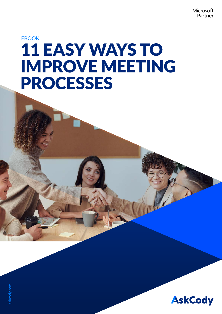Microsoft Partner

## EBOOK 11 EASY WAYS TO IMPROVE MEETING PROCESSES

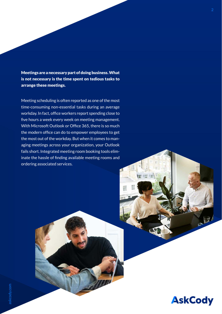Meetings are a necessary part of doing business. What is not necessary is the time spent on tedious tasks to arrange these meetings.

Meeting scheduling is often reported as one of the most time-consuming non-essential tasks during an average workday. In fact, office workers report spending close to five hours a week every week on meeting management. With Microsoft Outlook or Office 365, there is so much the modern office can do to empower employees to get the most out of the workday. But when it comes to managing meetings across your organization, your Outlook fails short. Integrated meeting room booking tools eliminate the hassle of finding available meeting rooms and ordering associated services.

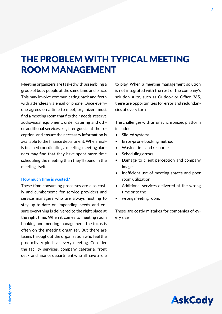## THE PROBLEM WITH TYPICAL MEETING ROOM MANAGEMENT

Meeting organizers are tasked with assembling a group of busy people at the same time and place. This may involve communicating back and forth with attendees via email or phone. Once everyone agrees on a time to meet, organizers must find a meeting room that fits their needs, reserve audiovisual equipment, order catering and other additional services, register guests at the reception, and ensure the necessary information is available to the finance department. When finally finished coordinating a meeting, meeting planners may find that they have spent more time scheduling the meeting than they'll spend in the meeting itself.

#### **How much time is wasted?**

These time-consuming processes are also costly and cumbersome for service providers and service managers who are always hustling to stay up-to-date on impending needs and ensure everything is delivered to the right place at the right time. When it comes to meeting room booking and meeting management, the focus is often on the meeting organizer. But there are teams throughout the organization who feel the productivity pinch at every meeting. Consider the facility services, company cafeteria, front desk, and finance department who all have a role to play. When a meeting management solution is not integrated with the rest of the company's solution suite, such as Outlook or Office 365, there are opportunities for error and redundancies at every turn

The challenges with an unsynchronized platform include:

- Silo-ed systems
- Error-prone booking method
- Wasted time and resource
- Scheduling errors
- Damage to client perception and company image
- Inefficient use of meeting spaces and poor room utilization
- Additional services delivered at the wrong time or to the
- wrong meeting room.

These are costly mistakes for companies of every size .

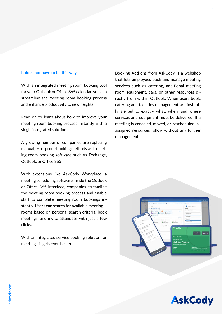#### **It does not have to be this way.**

With an integrated meeting room booking tool for your Outlook or Office 365 calendar, you can streamline the meeting room booking process and enhance productivity to new heights.

Read on to learn about how to improve your meeting room booking process instantly with a single integrated solution.

A growing number of companies are replacing manual, errorprone booking methods with meeting room booking software such as Exchange, Outlook, or Office 365

With extensions like AskCody Workplace, a meeting scheduling software inside the Outlook or Office 365 interface, companies streamline the meeting room booking process and enable staff to complete meeting room bookings instantly. Users can search for available meeting rooms based on personal search criteria, book meetings, and invite attendees with just a few clicks.

With an integrated service booking solution for meetings, it gets even better.

Booking Add-ons from AskCody is a webshop that lets employees book and manage meeting services such as catering, additional meeting room equipment, cars, or other resources directly from within Outlook. When users book, catering and facilities management are instantly alerted to exactly what, when, and where services and equipment must be delivered. If a meeting is canceled, moved, or rescheduled, all assigned resources follow without any further management.



**AskCody**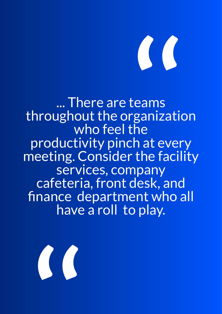# **''**

... There are teams throughout the organization who feel the productivity pinch at every meeting. Consider the facility services, company cafeteria, front desk, and finance department who all have a roll to play.

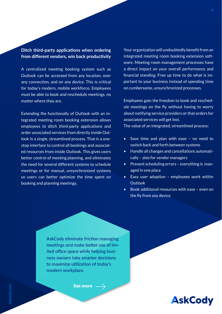#### **Ditch third-party applications when ordering from different vendors, win back productivity**

A centralized meeting booking system such as Outlook can be accessed from any location, over any connection, and on any device. This is critical for today's modern, mobile workforce. Employees must be able to book and reschedule meetings, no matter where they are.

Extending the functionally of Outlook with an integrated meeting room booking extension allows employees to ditch third-party applications and order associated services from directly inside Outlook in a single, streamlined process. That is a onestop interface to control all bookings and associated resources from inside Outlook. This gives users better control of meeting planning, and eliminates the need for several different systems to schedule meetings or for manual, unsynchronized systems so users can better optimize the time spent on booking and planning meetings.

Your organization will undoubtedly benefit from an integrated meeting room booking extension software. Meeting room management processes have a direct impact on your overall performance and financial standing. Free up time to do what is important to your business instead of spending time on cumbersome, unsynchronized processes.

Employees gain the freedom to book and reschedule meetings on the fly without having to worry about notifying service providers or that orders for associated services will get lost.

The value of an integrated, streamlined process:

- Save time and plan with ease no need to switch back and forth between systems
- Handle all changes and cancellations automatically – also for vendor managers
- Prevent scheduling errors everything is managed in one place
- Easy user adoption employees work within **Outlook**
- Book additional resources with ease even on the fly from any device

AskCody eliminate friction managing meetings and make better use of limited office space while helping business owners take smarter decisions to maximize utilization of today's modern workplace.

[See more](https://www.askcody.com/press/how-much-time-do-you-waste?hs_preview=OMTKbgBC-65954638735)

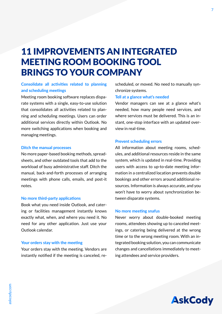### 11 IMPROVEMENTS AN INTEGRATED MEETING ROOM BOOKING TOOL BRINGS TO YOUR COMPANY

#### **Consolidate all activities related to planning and scheduling meetings**

Meeting room booking software replaces disparate systems with a single, easy-to-use solution that consolidates all activities related to planning and scheduling meetings. Users can order additional services directly within Outlook. No more switching applications when booking and managing meetings.

#### **Ditch the manual processes**

No more paper-based booking methods, spreadsheets, and other outdated tools that add to the workload of busy administrative staff. Ditch the manual, back-and-forth processes of arranging meetings with phone calls, emails, and post-it notes.

#### **No more third-party applications**

Book what you need inside Outlook, and catering or facilities management instantly knows exactly what, when, and where you need it. No need for any other application. Just use your Outlook calendar.

#### **Your orders stay with the meeting**

Your orders stay with the meeting. Vendors are instantly notified if the meeting is canceled, rescheduled, or moved. No need to manually synchronize systems.

#### **Tell at a glance what's needed**

Vendor managers can see at a glance what's needed, how many people need services, and where services must be delivered. This is an instant, one-stop interface with an updated overview in real-time.

#### **Prevent scheduling errors**

All information about meeting rooms, schedules, and additional resources reside in the same system, which is updated in real-time. Providing users with access to up-to-date meeting information in a centralized location prevents double bookings and other errors around additional resources. Information is always accurate, and you won't have to worry about synchronization between disparate systems.

#### **No more meeting snafus**

Never worry about double-booked meeting rooms, attendees showing up to canceled meetings, or catering being delivered at the wrong time or to the wrong meeting room. With an integrated booking solution, you can communicate changes and cancellations immediately to meeting attendees and service providers.

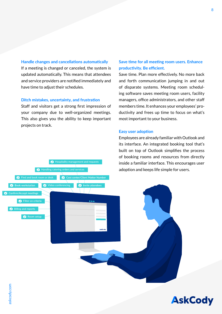#### **Handle changes and cancellations automatically**

If a meeting is changed or canceled, the system is updated automatically. This means that attendees and service providers are notified immediately and have time to adjust their schedules.

#### **Ditch mistakes, uncertainty, and frustration**

Video conferencing

Handling catering orders and services

**C** Filter on criteria

**Find and book room or desk** 

Room setup

Billing and reports

Book workstation

Confirm/Accept meetings

Staff and visitors get a strong first impression of your company due to well-organized meetings. This also gives you the ability to keep important projects on track.

**A** Hospitality management and requests

Cost center/Client Matter Number

Invite attendees

#### **Save time for all meeting room users. Enhance productivity. Be efficient.**

Save time. Plan more effectively. No more back and forth communication jumping in and out of disparate systems. Meeting room scheduling software saves meeting room users, facility managers, office administrators, and other staff members time. It enhances your employees' productivity and frees up time to focus on what's most important to your business.

#### **Easy user adoption**

Employees are already familiar with Outlook and its interface. An integrated booking tool that's built on top of Outlook simplifies the process of booking rooms and resources from directly inside a familiar interface. This encourages user adoption and keeps life simple for users.